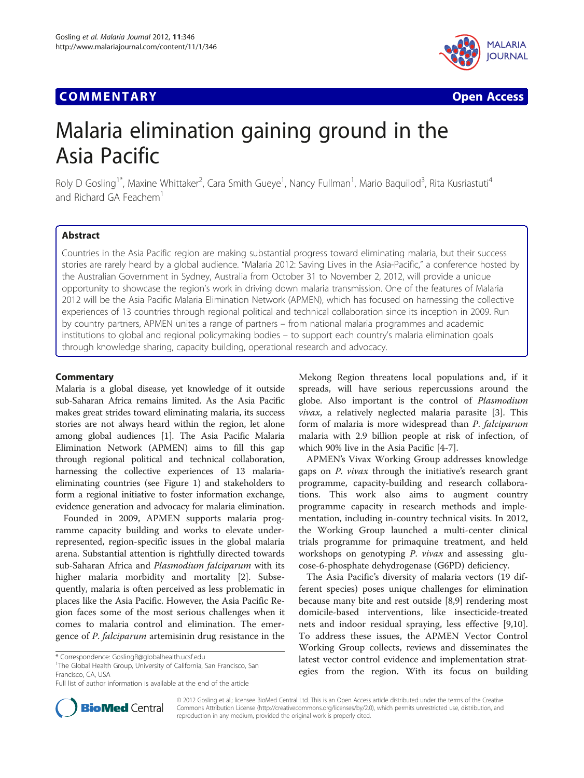# Communication of the communication of the communication of the communication of the communication of the communication<br>The communication of the communication of the communication of the communication of the communication o



# Malaria elimination gaining ground in the Asia Pacific

Roly D Gosling<sup>1\*</sup>, Maxine Whittaker<sup>2</sup>, Cara Smith Gueye<sup>1</sup>, Nancy Fullman<sup>1</sup>, Mario Baquilod<sup>3</sup>, Rita Kusriastuti<sup>4</sup> and Richard GA Feachem<sup>1</sup>

## **Abstract**

Countries in the Asia Pacific region are making substantial progress toward eliminating malaria, but their success stories are rarely heard by a global audience. "Malaria 2012: Saving Lives in the Asia-Pacific," a conference hosted by the Australian Government in Sydney, Australia from October 31 to November 2, 2012, will provide a unique opportunity to showcase the region's work in driving down malaria transmission. One of the features of Malaria 2012 will be the Asia Pacific Malaria Elimination Network (APMEN), which has focused on harnessing the collective experiences of 13 countries through regional political and technical collaboration since its inception in 2009. Run by country partners, APMEN unites a range of partners – from national malaria programmes and academic institutions to global and regional policymaking bodies – to support each country's malaria elimination goals through knowledge sharing, capacity building, operational research and advocacy.

Malaria is a global disease, yet knowledge of it outside sub-Saharan Africa remains limited. As the Asia Pacific makes great strides toward eliminating malaria, its success stories are not always heard within the region, let alone among global audiences [\[1](#page-2-0)]. The Asia Pacific Malaria Elimination Network (APMEN) aims to fill this gap through regional political and technical collaboration, harnessing the collective experiences of 13 malariaeliminating countries (see Figure [1\)](#page-1-0) and stakeholders to form a regional initiative to foster information exchange, evidence generation and advocacy for malaria elimination.

Founded in 2009, APMEN supports malaria programme capacity building and works to elevate underrepresented, region-specific issues in the global malaria arena. Substantial attention is rightfully directed towards sub-Saharan Africa and Plasmodium falciparum with its higher malaria morbidity and mortality [[2\]](#page-2-0). Subsequently, malaria is often perceived as less problematic in places like the Asia Pacific. However, the Asia Pacific Region faces some of the most serious challenges when it comes to malaria control and elimination. The emergence of P. falciparum artemisinin drug resistance in the

<sup>1</sup>The Global Health Group, University of California, San Francisco, San Francisco, CA, USA

Mekong Region threatens local populations and, if it spreads, will have serious repercussions around the globe. Also important is the control of Plasmodium vivax, a relatively neglected malaria parasite [[3\]](#page-2-0). This form of malaria is more widespread than P. falciparum malaria with 2.9 billion people at risk of infection, of which 90% live in the Asia Pacific [[4-7](#page-2-0)].

APMEN's Vivax Working Group addresses knowledge gaps on P. vivax through the initiative's research grant programme, capacity-building and research collaborations. This work also aims to augment country programme capacity in research methods and implementation, including in-country technical visits. In 2012, the Working Group launched a multi-center clinical trials programme for primaquine treatment, and held workshops on genotyping P. vivax and assessing glucose-6-phosphate dehydrogenase (G6PD) deficiency.

The Asia Pacific's diversity of malaria vectors (19 different species) poses unique challenges for elimination because many bite and rest outside [\[8,9](#page-2-0)] rendering most domicile-based interventions, like insecticide-treated nets and indoor residual spraying, less effective [\[9,10](#page-2-0)]. To address these issues, the APMEN Vector Control Working Group collects, reviews and disseminates the latest vector control evidence and implementation strategies from the region. With its focus on building



© 2012 Gosling et al.; licensee BioMed Central Ltd. This is an Open Access article distributed under the terms of the Creative Commons Attribution License [\(http://creativecommons.org/licenses/by/2.0\)](http://creativecommons.org/licenses/by/2.0), which permits unrestricted use, distribution, and reproduction in any medium, provided the original work is properly cited.

<sup>\*</sup> Correspondence: [GoslingR@globalhealth.ucsf.edu](mailto:GoslingR@globalhealth.ucsf.edu) <sup>1</sup>

Full list of author information is available at the end of the article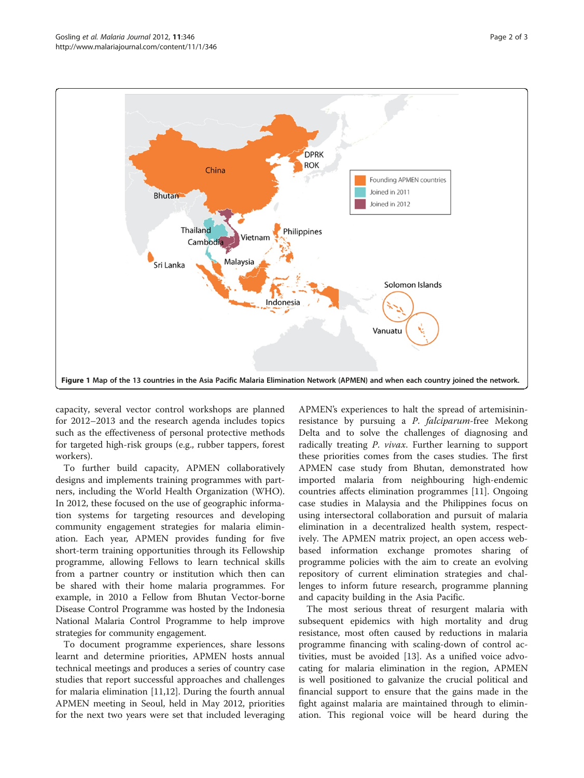<span id="page-1-0"></span>

capacity, several vector control workshops are planned for 2012–2013 and the research agenda includes topics such as the effectiveness of personal protective methods for targeted high-risk groups (e.g., rubber tappers, forest workers).

To further build capacity, APMEN collaboratively designs and implements training programmes with partners, including the World Health Organization (WHO). In 2012, these focused on the use of geographic information systems for targeting resources and developing community engagement strategies for malaria elimination. Each year, APMEN provides funding for five short-term training opportunities through its Fellowship programme, allowing Fellows to learn technical skills from a partner country or institution which then can be shared with their home malaria programmes. For example, in 2010 a Fellow from Bhutan Vector-borne Disease Control Programme was hosted by the Indonesia National Malaria Control Programme to help improve strategies for community engagement.

To document programme experiences, share lessons learnt and determine priorities, APMEN hosts annual technical meetings and produces a series of country case studies that report successful approaches and challenges for malaria elimination [[11,12\]](#page-2-0). During the fourth annual APMEN meeting in Seoul, held in May 2012, priorities for the next two years were set that included leveraging

APMEN's experiences to halt the spread of artemisininresistance by pursuing a P. falciparum-free Mekong Delta and to solve the challenges of diagnosing and radically treating P. vivax. Further learning to support these priorities comes from the cases studies. The first APMEN case study from Bhutan, demonstrated how imported malaria from neighbouring high-endemic countries affects elimination programmes [\[11\]](#page-2-0). Ongoing case studies in Malaysia and the Philippines focus on using intersectoral collaboration and pursuit of malaria elimination in a decentralized health system, respectively. The APMEN matrix project, an open access webbased information exchange promotes sharing of programme policies with the aim to create an evolving repository of current elimination strategies and challenges to inform future research, programme planning and capacity building in the Asia Pacific.

The most serious threat of resurgent malaria with subsequent epidemics with high mortality and drug resistance, most often caused by reductions in malaria programme financing with scaling-down of control activities, must be avoided [[13\]](#page-2-0). As a unified voice advocating for malaria elimination in the region, APMEN is well positioned to galvanize the crucial political and financial support to ensure that the gains made in the fight against malaria are maintained through to elimination. This regional voice will be heard during the